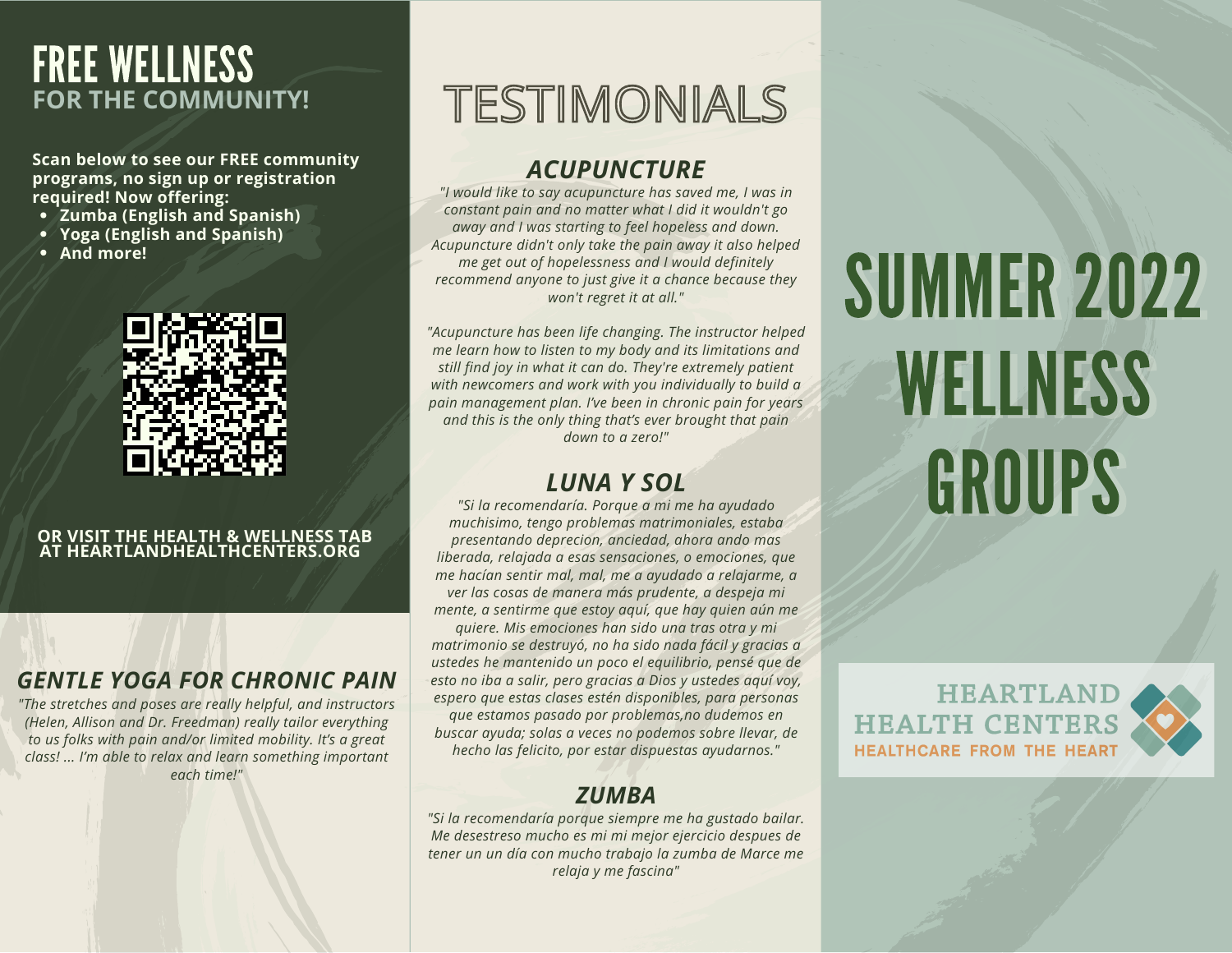## FREE WELLNESS **FOR THE COMMUNITY!**

**Scan below to see our FREE community programs, no sign up or registration required! Now offering:**

- **Zumba (English and Spanish)**
- **Yoga (English and Spanish)**
- **And more!**



#### **OR VISIT THE HEALTH & WELLNESS TAB AT HEARTLANDHEALTHCENTERS.ORG**

## *GENTLE YOGA FOR CHRONIC PAIN*

*"The stretches and poses are really helpful, and instructors (Helen, Allison and Dr. Freedman) really tailor everything to us folks with pain and/or limited mobility. It's a great class! ... I'm able to relax and learn something important each time!"*

# TESTIMONIALS

## *ACUPUNCTURE*

*"I would like to say acupuncture has saved me, I was in constant pain and no matter what I did it wouldn't go away and I was starting to feel hopeless and down. Acupuncture didn't only take the pain away it also helped me get out of hopelessness and I would definitely recommend anyone to just give it a chance because they won't regret it at all."*

*"Acupuncture has been life changing. The instructor helped me learn how to listen to my body and its limitations and still find joy in what it can do. They're extremely patient with newcomers and work with you individually to build a pain management plan. I've been in chronic pain for years and this is the only thing that's ever brought that pain down to a zero!"*

## *LUNA Y SOL*

*"Si la recomendaría. Porque a mi me ha ayudado muchisimo, tengo problemas matrimoniales, estaba presentando deprecion, anciedad, ahora ando mas liberada, relajada a esas sensaciones, o emociones, que me hacían sentir mal, mal, me a ayudado a relajarme, a ver las cosas de manera más prudente, a despeja mi mente, a sentirme que estoy aquí, que hay quien aún me*

*quiere. Mis emociones han sido una tras otra y mi matrimonio se destruyó, no ha sido nada fácil y gracias a ustedes he mantenido un poco el equilibrio, pensé que de esto no iba a salir, pero gracias a Dios y ustedes aquí voy, espero que estas clases estén disponibles, para personas que estamos pasado por problemas,no dudemos en buscar ayuda; solas a veces no podemos sobre llevar, de hecho las felicito, por estar dispuestas ayudarnos."*

## *ZUMBA*

*"Si la recomendaría porque siempre me ha gustado bailar. Me desestreso mucho es mi mi mejor ejercicio despues de tener un un día con mucho trabajo la zumba de Marce me relaja y me fascina"*

# SUMMER 2022 WELLNESS GROUPS